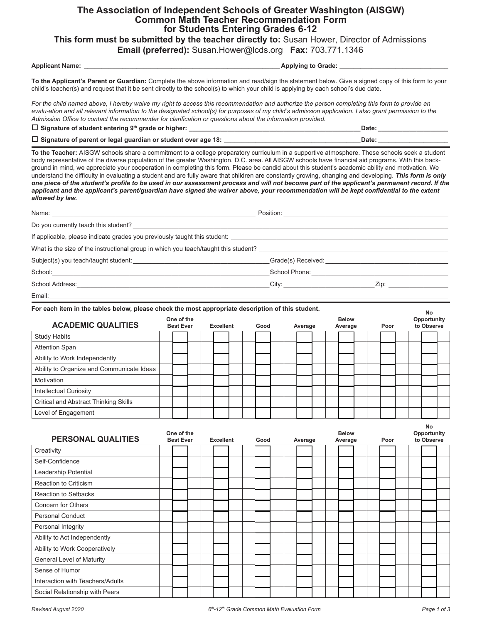## **The Association of Independent Schools of Greater Washington (AISGW) Common Math Teacher Recommendation Form for Students Entering Grades 6-12**

**This form must be submitted by the teacher directly to:** Susan Hower, Director of Admissions

**Email (preferred):** Susan.Hower@lcds.org **Fax:** 703.771.1346

**Applicant Name: \_\_\_\_\_\_\_\_\_\_\_\_\_\_\_\_\_\_\_\_\_\_\_\_\_\_\_\_\_\_\_\_\_\_\_\_\_\_\_\_\_\_\_\_\_\_\_\_\_\_\_\_\_\_\_\_ Applying to Grade: \_\_\_\_\_\_\_\_\_\_\_\_\_\_\_\_\_\_\_\_\_\_\_\_\_\_\_\_\_\_\_**

**To the Applicant's Parent or Guardian:** Complete the above information and read/sign the statement below. Give a signed copy of this form to your child's teacher(s) and request that it be sent directly to the school(s) to which your child is applying by each school's due date.

For the child named above, I hereby waive my right to access this recommendation and authorize the person completing this form to provide an *evalu-ation and all relevant information to the designated school(s) for purposes of my child's admission application. I also grant permission to the Admission Office to contact the recommender for clarification or questions about the information provided.*

| $\Box$ Signature of student entering 9 <sup>th</sup> grade or higher:   | Date: |
|-------------------------------------------------------------------------|-------|
| $\square$ Signature of parent or legal guardian or student over age 18: | Date: |

**To the Teacher:** AISGW schools share a commitment to a college preparatory curriculum in a supportive atmosphere. These schools seek a student body representative of the diverse population of the greater Washington, D.C. area. All AISGW schools have financial aid programs. With this background in mind, we appreciate your cooperation in completing this form. Please be candid about this student's academic ability and motivation. We understand the difficulty in evaluating a student and are fully aware that children are constantly growing, changing and developing. *This form is only one piece of the student's profile to be used in our assessment process and will not become part of the applicant's permanent record. If the applicant and the applicant's parent/guardian have signed the waiver above, your recommendation will be kept confidential to the extent allowed by law.*

| If applicable, please indicate grades you previously taught this student:           |                                                                                                                                                                                                                                      |                                                  |
|-------------------------------------------------------------------------------------|--------------------------------------------------------------------------------------------------------------------------------------------------------------------------------------------------------------------------------------|--------------------------------------------------|
| What is the size of the instructional group in which you teach/taught this student? |                                                                                                                                                                                                                                      |                                                  |
|                                                                                     |                                                                                                                                                                                                                                      |                                                  |
|                                                                                     | School Phone: <u>Campaign and Chapter and Chapter and Chapter and Chapter and Chapter and Chapter and Chapter and Chapter and Chapter and Chapter and Chapter and Chapter and Chapter and Chapter and Chapter and Chapter and Ch</u> |                                                  |
| School Address:                                                                     | City: the contract of the contract of the contract of the contract of the contract of the contract of the contract of the contract of the contract of the contract of the contract of the contract of the contract of the cont       | $\mathsf{Zip:}\qquad \qquad \qquad \blacksquare$ |
| Email:                                                                              |                                                                                                                                                                                                                                      |                                                  |

**For each item in the tables below, please check the most appropriate description of this student.**

|                                           |                                |  |                  |      |  |         |  |                         |  |      |  | <b>No</b>                 |  |
|-------------------------------------------|--------------------------------|--|------------------|------|--|---------|--|-------------------------|--|------|--|---------------------------|--|
| <b>ACADEMIC QUALITIES</b>                 | One of the<br><b>Best Ever</b> |  | <b>Excellent</b> | Good |  | Average |  | <b>Below</b><br>Average |  | Poor |  | Opportunity<br>to Observe |  |
| <b>Study Habits</b>                       |                                |  |                  |      |  |         |  |                         |  |      |  |                           |  |
| <b>Attention Span</b>                     |                                |  |                  |      |  |         |  |                         |  |      |  |                           |  |
| Ability to Work Independently             |                                |  |                  |      |  |         |  |                         |  |      |  |                           |  |
| Ability to Organize and Communicate Ideas |                                |  |                  |      |  |         |  |                         |  |      |  |                           |  |
| Motivation                                |                                |  |                  |      |  |         |  |                         |  |      |  |                           |  |
| <b>Intellectual Curiosity</b>             |                                |  |                  |      |  |         |  |                         |  |      |  |                           |  |
| Critical and Abstract Thinking Skills     |                                |  |                  |      |  |         |  |                         |  |      |  |                           |  |
| Level of Engagement                       |                                |  |                  |      |  |         |  |                         |  |      |  |                           |  |

| PERSONAL QUALITIES               | One of the | <b>Best Ever</b> | <b>Excellent</b> |  | Good | Average |  | <b>Below</b><br>Average |  | Poor |  | Opportunity<br>to Observe |  |
|----------------------------------|------------|------------------|------------------|--|------|---------|--|-------------------------|--|------|--|---------------------------|--|
| Creativity                       |            |                  |                  |  |      |         |  |                         |  |      |  |                           |  |
| Self-Confidence                  |            |                  |                  |  |      |         |  |                         |  |      |  |                           |  |
| Leadership Potential             |            |                  |                  |  |      |         |  |                         |  |      |  |                           |  |
| <b>Reaction to Criticism</b>     |            |                  |                  |  |      |         |  |                         |  |      |  |                           |  |
| <b>Reaction to Setbacks</b>      |            |                  |                  |  |      |         |  |                         |  |      |  |                           |  |
| Concern for Others               |            |                  |                  |  |      |         |  |                         |  |      |  |                           |  |
| <b>Personal Conduct</b>          |            |                  |                  |  |      |         |  |                         |  |      |  |                           |  |
| Personal Integrity               |            |                  |                  |  |      |         |  |                         |  |      |  |                           |  |
| Ability to Act Independently     |            |                  |                  |  |      |         |  |                         |  |      |  |                           |  |
| Ability to Work Cooperatively    |            |                  |                  |  |      |         |  |                         |  |      |  |                           |  |
| General Level of Maturity        |            |                  |                  |  |      |         |  |                         |  |      |  |                           |  |
| Sense of Humor                   |            |                  |                  |  |      |         |  |                         |  |      |  |                           |  |
| Interaction with Teachers/Adults |            |                  |                  |  |      |         |  |                         |  |      |  |                           |  |
| Social Relationship with Peers   |            |                  |                  |  |      |         |  |                         |  |      |  |                           |  |

**No**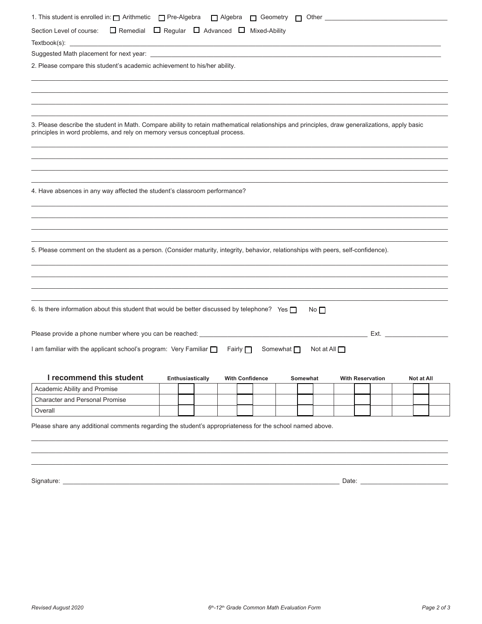| Section Level of course: $\Box$ Remedial $\Box$ Regular $\Box$ Advanced $\Box$ Mixed-Ability                                                                                                                                 |                  |                        |                 |           |                         |            |
|------------------------------------------------------------------------------------------------------------------------------------------------------------------------------------------------------------------------------|------------------|------------------------|-----------------|-----------|-------------------------|------------|
| $Textbook(s): \begin{tabular}{ l l l } \hline \textbf{Textbook}(s): & \textbf{Output} & \textbf{Output} & \textbf{Output} & \textbf{Output} \\ \hline \end{tabular}$                                                         |                  |                        |                 |           |                         |            |
|                                                                                                                                                                                                                              |                  |                        |                 |           |                         |            |
| 2. Please compare this student's academic achievement to his/her ability.                                                                                                                                                    |                  |                        |                 |           |                         |            |
|                                                                                                                                                                                                                              |                  |                        |                 |           |                         |            |
|                                                                                                                                                                                                                              |                  |                        |                 |           |                         |            |
|                                                                                                                                                                                                                              |                  |                        |                 |           |                         |            |
| 3. Please describe the student in Math. Compare ability to retain mathematical relationships and principles, draw generalizations, apply basic<br>principles in word problems, and rely on memory versus conceptual process. |                  |                        |                 |           |                         |            |
|                                                                                                                                                                                                                              |                  |                        |                 |           |                         |            |
|                                                                                                                                                                                                                              |                  |                        |                 |           |                         |            |
| 4. Have absences in any way affected the student's classroom performance?                                                                                                                                                    |                  |                        |                 |           |                         |            |
|                                                                                                                                                                                                                              |                  |                        |                 |           |                         |            |
|                                                                                                                                                                                                                              |                  |                        |                 |           |                         |            |
|                                                                                                                                                                                                                              |                  |                        |                 |           |                         |            |
|                                                                                                                                                                                                                              |                  |                        |                 |           |                         |            |
| 5. Please comment on the student as a person. (Consider maturity, integrity, behavior, relationships with peers, self-confidence).                                                                                           |                  |                        |                 |           |                         |            |
|                                                                                                                                                                                                                              |                  |                        |                 |           |                         |            |
|                                                                                                                                                                                                                              |                  |                        |                 |           |                         |            |
|                                                                                                                                                                                                                              |                  |                        |                 |           |                         |            |
| 6. Is there information about this student that would be better discussed by telephone? Yes $\Box$                                                                                                                           |                  |                        |                 | No $\Box$ |                         |            |
| Please provide a phone number where you can be reached: ________________________                                                                                                                                             |                  |                        |                 |           |                         | Ext.       |
| I am familiar with the applicant school's program: Very Familiar D Fairly D                                                                                                                                                  |                  |                        | Somewhat $\Box$ |           | Not at All $\Box$       |            |
|                                                                                                                                                                                                                              |                  |                        |                 |           |                         |            |
| I recommend this student                                                                                                                                                                                                     | Enthusiastically | <b>With Confidence</b> |                 | Somewhat  | <b>With Reservation</b> | Not at All |
| Academic Ability and Promise                                                                                                                                                                                                 |                  |                        |                 |           |                         |            |
| <b>Character and Personal Promise</b>                                                                                                                                                                                        |                  |                        |                 |           |                         |            |
| Overall                                                                                                                                                                                                                      |                  |                        |                 |           |                         |            |
|                                                                                                                                                                                                                              |                  |                        |                 |           |                         |            |
| Please share any additional comments regarding the student's appropriateness for the school named above.                                                                                                                     |                  |                        |                 |           |                         |            |
|                                                                                                                                                                                                                              |                  |                        |                 |           |                         |            |
|                                                                                                                                                                                                                              |                  |                        |                 |           |                         |            |